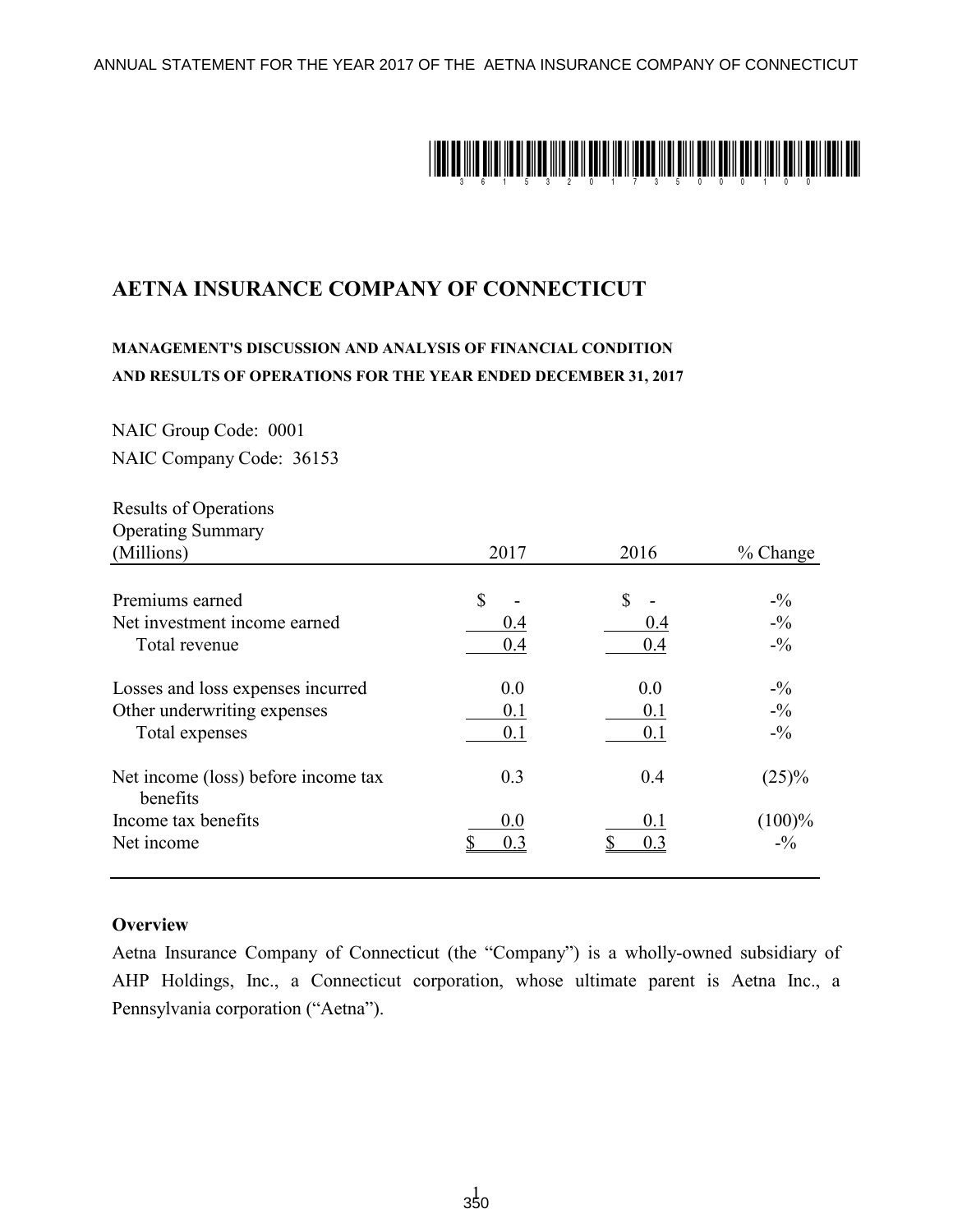ANNUAL STATEMENT FOR THE YEAR 2017 OF THE AETNA INSURANCE COMPANY OF CONNECTICUT



# **AETNA INSURANCE COMPANY OF CONNECTICUT**

## **MANAGEMENT'S DISCUSSION AND ANALYSIS OF FINANCIAL CONDITION AND RESULTS OF OPERATIONS FOR THE YEAR ENDED DECEMBER 31, 2017**

NAIC Group Code: 0001 NAIC Company Code: 36153

| <b>Results of Operations</b>                    |               |      |            |
|-------------------------------------------------|---------------|------|------------|
| <b>Operating Summary</b>                        |               |      |            |
| (Millions)                                      | 2017          | 2016 | $%$ Change |
| Premiums earned                                 | <sup>\$</sup> | \$   | $-1/6$     |
| Net investment income earned                    | 0.4           | 0.4  | $-1/6$     |
| Total revenue                                   | 0.4           | 0.4  | $-1/6$     |
| Losses and loss expenses incurred               | 0.0           | 0.0  | $-1/2$     |
| Other underwriting expenses                     | 0.1           | 0.1  | $-1/2$     |
| Total expenses                                  | 0.1           | 0.1  | $-1/2$     |
| Net income (loss) before income tax<br>benefits | 0.3           | 0.4  | (25)%      |
| Income tax benefits                             | 0.0           | 0.1  | $(100)\%$  |
| Net income                                      | 0.3           | 0.3  | $-9/0$     |

#### **Overview**

Aetna Insurance Company of Connecticut (the "Company") is a wholly-owned subsidiary of AHP Holdings, Inc., a Connecticut corporation, whose ultimate parent is Aetna Inc., a Pennsylvania corporation ("Aetna").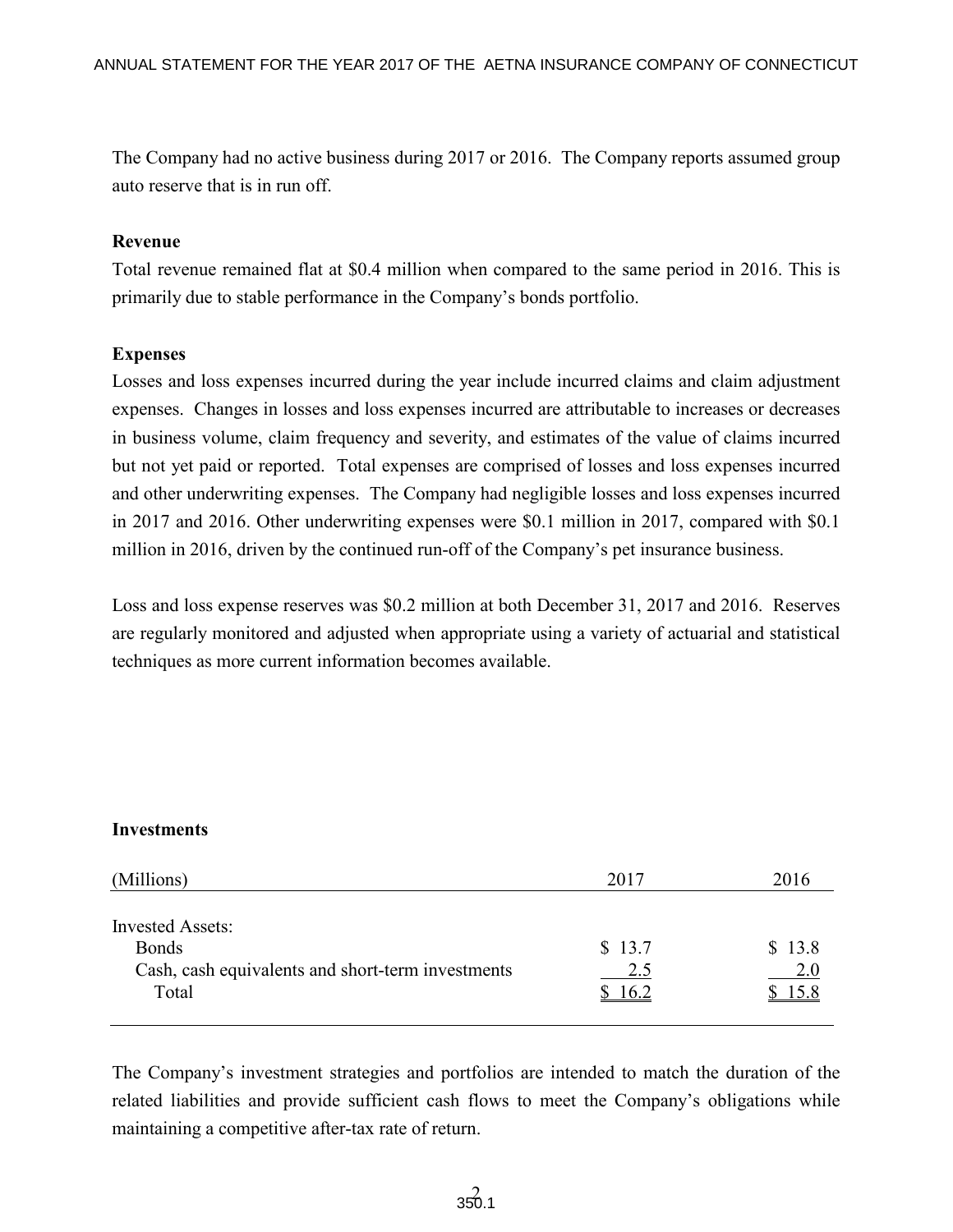The Company had no active business during 2017 or 2016. The Company reports assumed group auto reserve that is in run off.

#### **Revenue**

Total revenue remained flat at \$0.4 million when compared to the same period in 2016. This is primarily due to stable performance in the Company's bonds portfolio.

## **Expenses**

Losses and loss expenses incurred during the year include incurred claims and claim adjustment expenses. Changes in losses and loss expenses incurred are attributable to increases or decreases in business volume, claim frequency and severity, and estimates of the value of claims incurred but not yet paid or reported. Total expenses are comprised of losses and loss expenses incurred and other underwriting expenses. The Company had negligible losses and loss expenses incurred in 2017 and 2016. Other underwriting expenses were \$0.1 million in 2017, compared with \$0.1 million in 2016, driven by the continued run-off of the Company's pet insurance business.

Loss and loss expense reserves was \$0.2 million at both December 31, 2017 and 2016. Reserves are regularly monitored and adjusted when appropriate using a variety of actuarial and statistical techniques as more current information becomes available.

#### **Investments**

| (Millions)                                                                                            | 2017                  | 2016                  |
|-------------------------------------------------------------------------------------------------------|-----------------------|-----------------------|
| <b>Invested Assets:</b><br><b>Bonds</b><br>Cash, cash equivalents and short-term investments<br>Total | \$13.7<br>2.5<br>16.2 | \$13.8<br>2.0<br>15.8 |
|                                                                                                       |                       |                       |

The Company's investment strategies and portfolios are intended to match the duration of the related liabilities and provide sufficient cash flows to meet the Company's obligations while maintaining a competitive after-tax rate of return.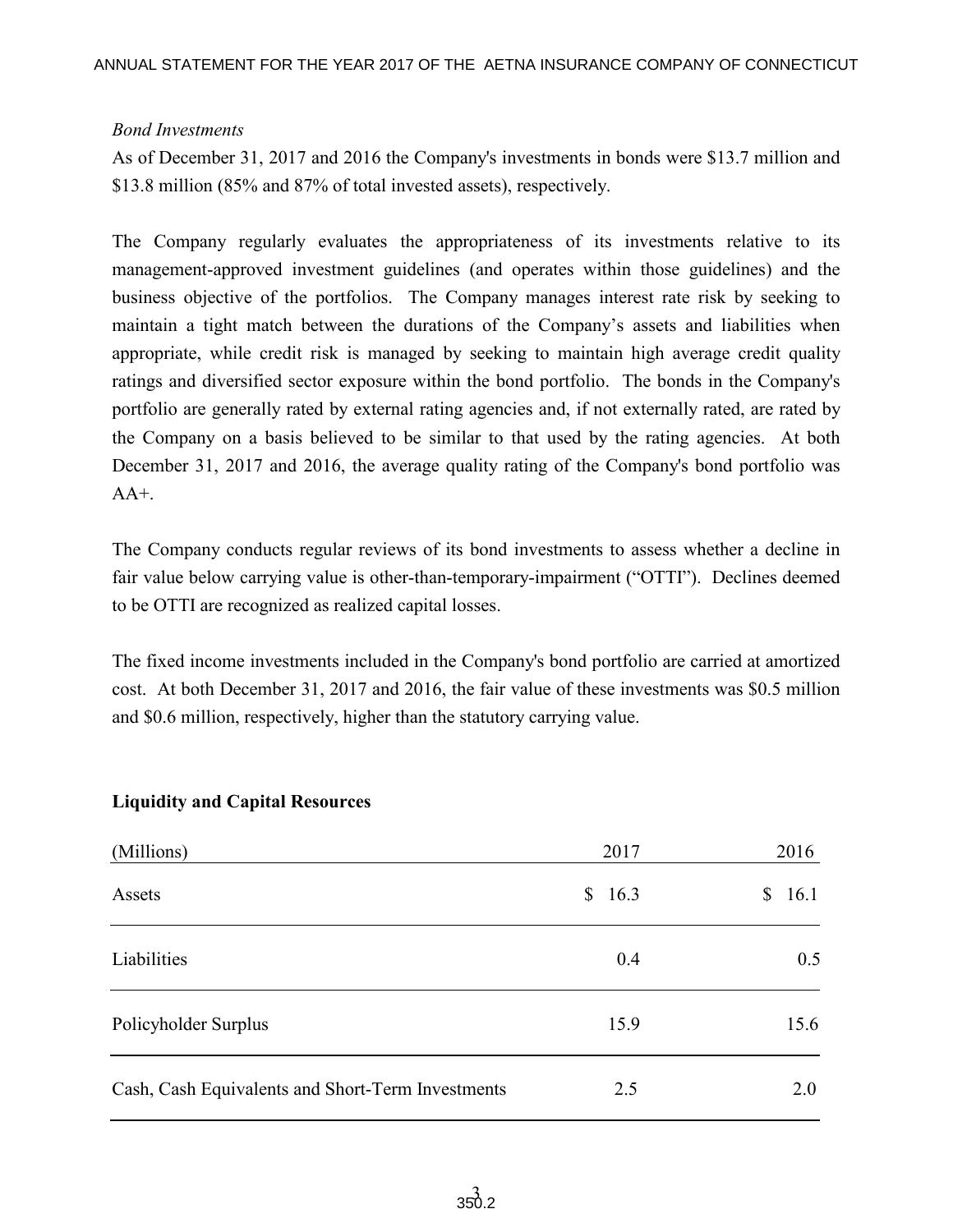## *Bond Investments*

As of December 31, 2017 and 2016 the Company's investments in bonds were \$13.7 million and \$13.8 million (85% and 87% of total invested assets), respectively.

The Company regularly evaluates the appropriateness of its investments relative to its management-approved investment guidelines (and operates within those guidelines) and the business objective of the portfolios. The Company manages interest rate risk by seeking to maintain a tight match between the durations of the Company's assets and liabilities when appropriate, while credit risk is managed by seeking to maintain high average credit quality ratings and diversified sector exposure within the bond portfolio. The bonds in the Company's portfolio are generally rated by external rating agencies and, if not externally rated, are rated by the Company on a basis believed to be similar to that used by the rating agencies. At both December 31, 2017 and 2016, the average quality rating of the Company's bond portfolio was  $AA+$ 

The Company conducts regular reviews of its bond investments to assess whether a decline in fair value below carrying value is other-than-temporary-impairment ("OTTI"). Declines deemed to be OTTI are recognized as realized capital losses.

The fixed income investments included in the Company's bond portfolio are carried at amortized cost. At both December 31, 2017 and 2016, the fair value of these investments was \$0.5 million and \$0.6 million, respectively, higher than the statutory carrying value.

| (Millions)                                        | 2017                   | 2016       |
|---------------------------------------------------|------------------------|------------|
| Assets                                            | 16.3<br>$\mathbb{S}^-$ | 16.1<br>\$ |
| Liabilities                                       | 0.4                    | 0.5        |
| Policyholder Surplus                              | 15.9                   | 15.6       |
| Cash, Cash Equivalents and Short-Term Investments | 2.5                    | 2.0        |

## **Liquidity and Capital Resources**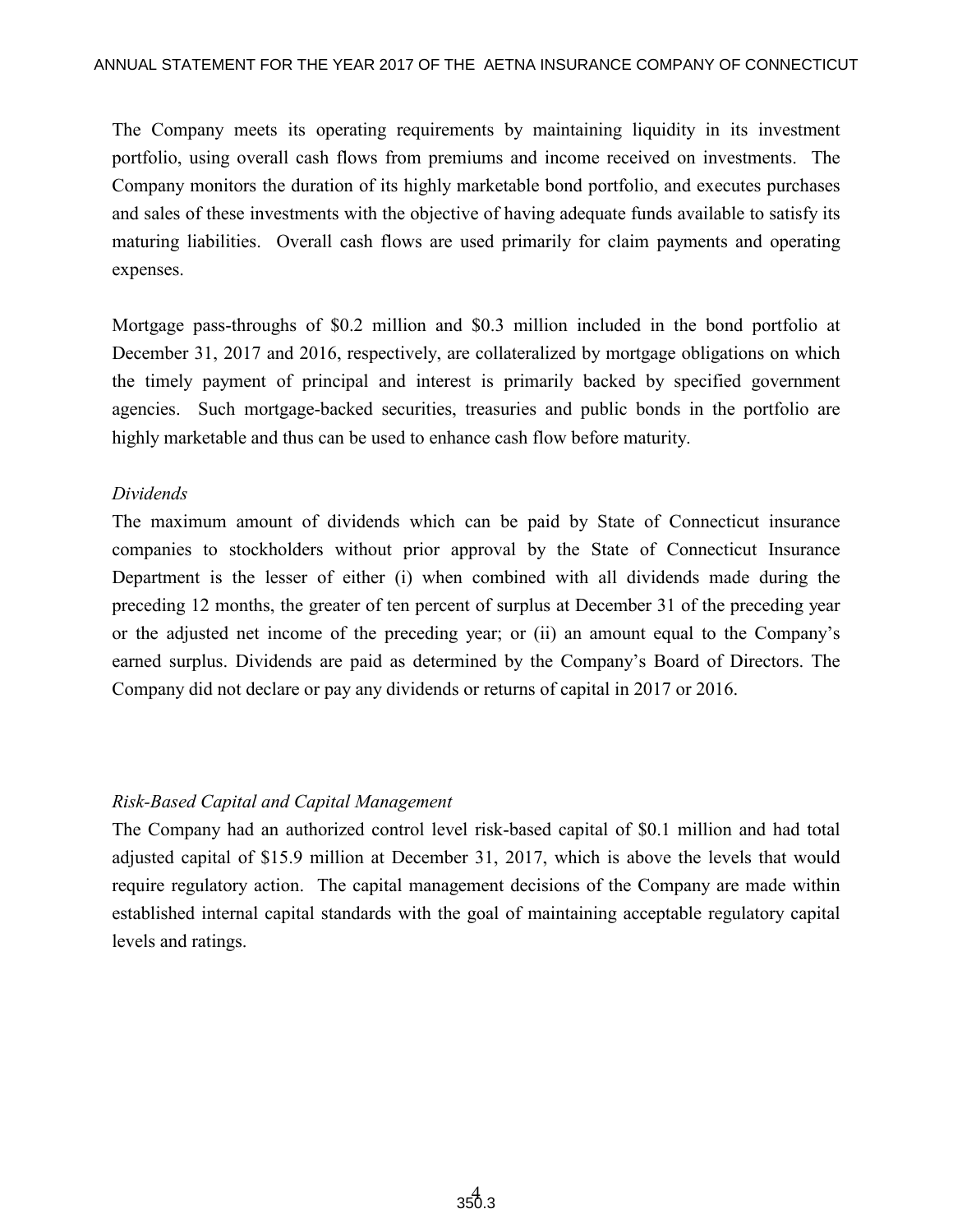The Company meets its operating requirements by maintaining liquidity in its investment portfolio, using overall cash flows from premiums and income received on investments. The Company monitors the duration of its highly marketable bond portfolio, and executes purchases and sales of these investments with the objective of having adequate funds available to satisfy its maturing liabilities. Overall cash flows are used primarily for claim payments and operating expenses.

Mortgage pass-throughs of \$0.2 million and \$0.3 million included in the bond portfolio at December 31, 2017 and 2016, respectively, are collateralized by mortgage obligations on which the timely payment of principal and interest is primarily backed by specified government agencies. Such mortgage-backed securities, treasuries and public bonds in the portfolio are highly marketable and thus can be used to enhance cash flow before maturity.

#### *Dividends*

The maximum amount of dividends which can be paid by State of Connecticut insurance companies to stockholders without prior approval by the State of Connecticut Insurance Department is the lesser of either (i) when combined with all dividends made during the preceding 12 months, the greater of ten percent of surplus at December 31 of the preceding year or the adjusted net income of the preceding year; or (ii) an amount equal to the Company's earned surplus. Dividends are paid as determined by the Company's Board of Directors. The Company did not declare or pay any dividends or returns of capital in 2017 or 2016.

## *Risk-Based Capital and Capital Management*

The Company had an authorized control level risk-based capital of \$0.1 million and had total adjusted capital of \$15.9 million at December 31, 2017, which is above the levels that would require regulatory action. The capital management decisions of the Company are made within established internal capital standards with the goal of maintaining acceptable regulatory capital levels and ratings.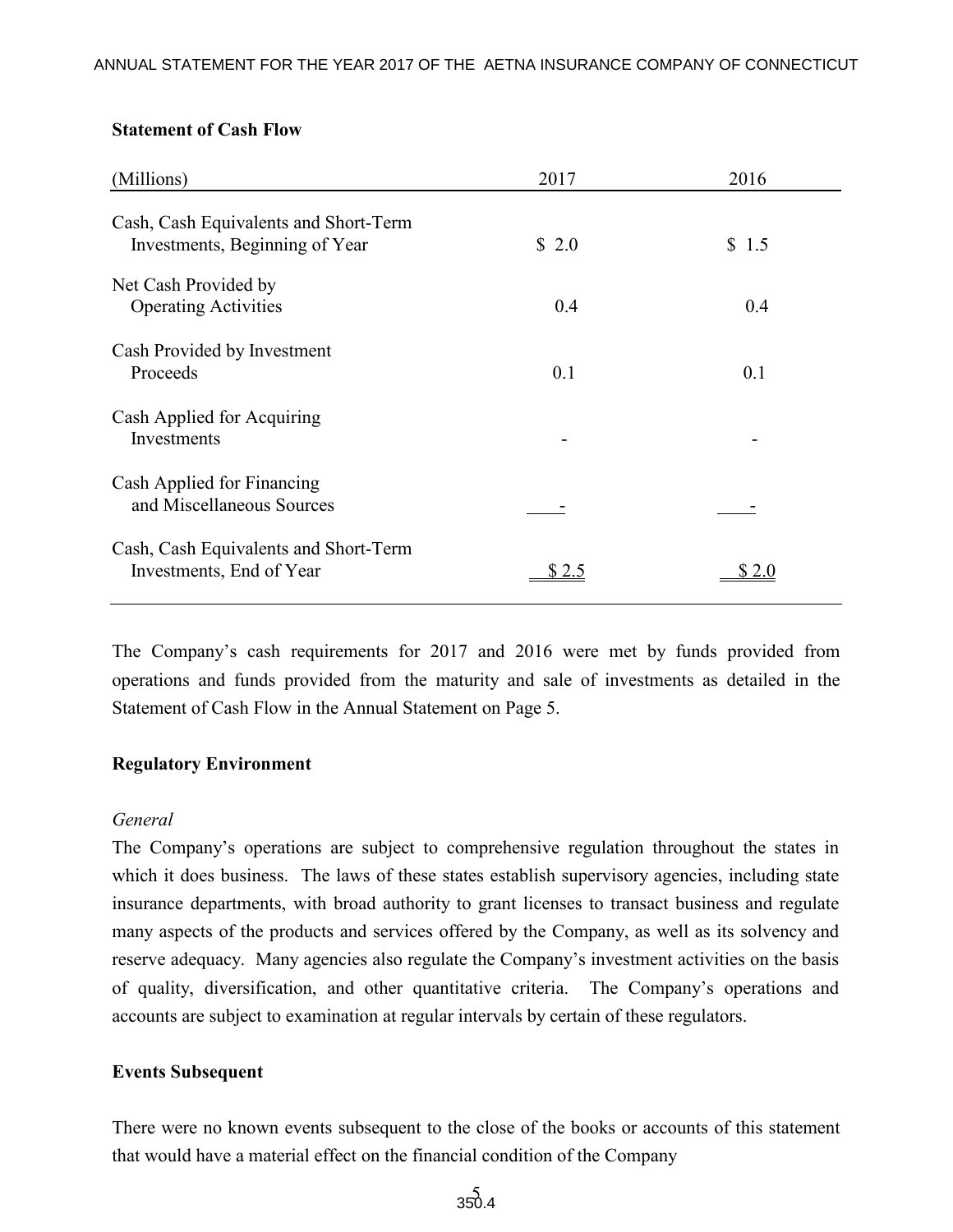#### **Statement of Cash Flow**

| (Millions)                                                              | 2017  | 2016  |
|-------------------------------------------------------------------------|-------|-------|
| Cash, Cash Equivalents and Short-Term<br>Investments, Beginning of Year | \$2.0 | \$1.5 |
| Net Cash Provided by<br><b>Operating Activities</b>                     | 0.4   | 0.4   |
| Cash Provided by Investment<br>Proceeds                                 | 0.1   | 0.1   |
| Cash Applied for Acquiring<br>Investments                               |       |       |
| Cash Applied for Financing<br>and Miscellaneous Sources                 |       |       |
| Cash, Cash Equivalents and Short-Term<br>Investments, End of Year       |       |       |

The Company's cash requirements for 2017 and 2016 were met by funds provided from operations and funds provided from the maturity and sale of investments as detailed in the Statement of Cash Flow in the Annual Statement on Page 5.

#### **Regulatory Environment**

#### *General*

The Company's operations are subject to comprehensive regulation throughout the states in which it does business. The laws of these states establish supervisory agencies, including state insurance departments, with broad authority to grant licenses to transact business and regulate many aspects of the products and services offered by the Company, as well as its solvency and reserve adequacy. Many agencies also regulate the Company's investment activities on the basis of quality, diversification, and other quantitative criteria. The Company's operations and accounts are subject to examination at regular intervals by certain of these regulators.

#### **Events Subsequent**

There were no known events subsequent to the close of the books or accounts of this statement that would have a material effect on the financial condition of the Company

 $350.4$